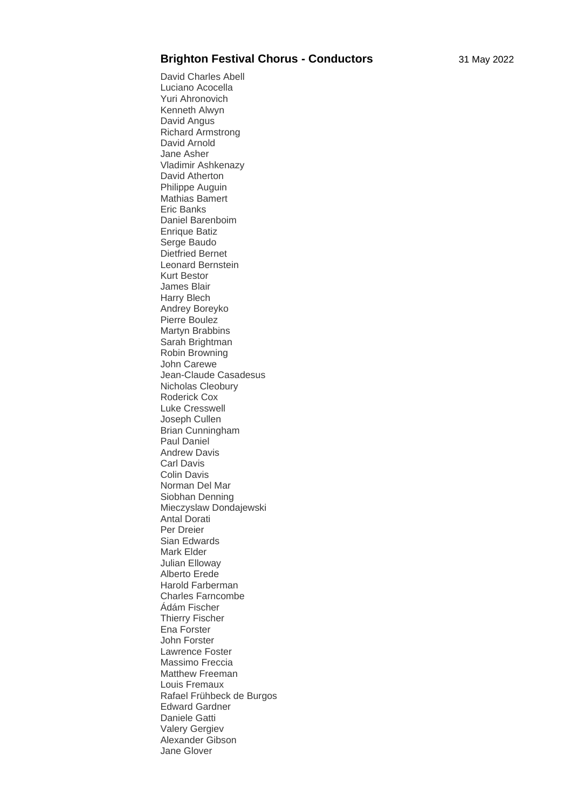## **Brighton Festival Chorus - Conductors** 31 May 2022

David Charles Abell Luciano Acocella Yuri Ahronovich Kenneth Alwyn David Angus Richard Armstrong David Arnold Jane Asher Vladimir Ashkenazy David Atherton Philippe Auguin Mathias Bamert Eric Banks Daniel Barenboim Enrique Batiz Serge Baudo Dietfried Bernet Leonard Bernstein Kurt Bestor James Blair Harry Blech Andrey Boreyko Pierre Boulez Martyn Brabbins Sarah Brightman Robin Browning John Carewe Jean-Claude Casadesus Nicholas Cleobury Roderick Cox Luke Cresswell Joseph Cullen Brian Cunningham Paul Daniel Andrew Davis Carl Davis Colin Davis Norman Del Mar Siobhan Denning Mieczyslaw Dondajewski Antal Dorati Per Dreier Sian Edwards Mark Elder Julian Elloway Alberto Erede Harold Farberman Charles Farncombe Ádám Fischer Thierry Fischer Ena Forster John Forster Lawrence Foster Massimo Freccia Matthew Freeman Louis Fremaux Rafael Frühbeck de Burgos Edward Gardner Daniele Gatti Valery Gergiev Alexander Gibson Jane Glover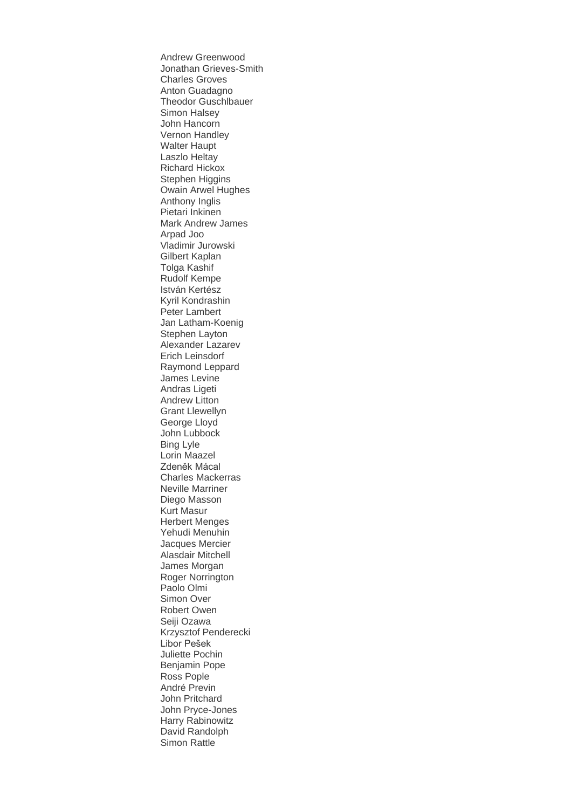Andrew Greenwood Jonathan Grieves-Smith Charles Groves Anton Guadagno Theodor Guschlbauer Simon Halsey John Hancorn Vernon Handley Walter Haupt Laszlo Heltay Richard Hickox Stephen Higgins Owain Arwel Hughes Anthony Inglis Pietari Inkinen Mark Andrew James Arpad Joo Vladimir Jurowski Gilbert Kaplan Tolga Kashif Rudolf Kempe István Kertész Kyril Kondrashin Peter Lambert Jan Latham-Koenig Stephen Layton Alexander Lazarev Erich Leinsdorf Raymond Leppard James Levine Andras Ligeti Andrew Litton Grant Llewellyn George Lloyd John Lubbock Bing Lyle Lorin Maazel Zdeněk Mácal Charles Mackerras Neville Marriner Diego Masson Kurt Masur Herbert Menges Yehudi Menuhin Jacques Mercier Alasdair Mitchell James Morgan Roger Norrington Paolo Olmi Simon Over Robert Owen Seiji Ozawa Krzysztof Penderecki Libor Pešek Juliette Pochin Benjamin Pope Ross Pople André Previn John Pritchard John Pryce-Jones Harry Rabinowitz David Randolph Simon Rattle